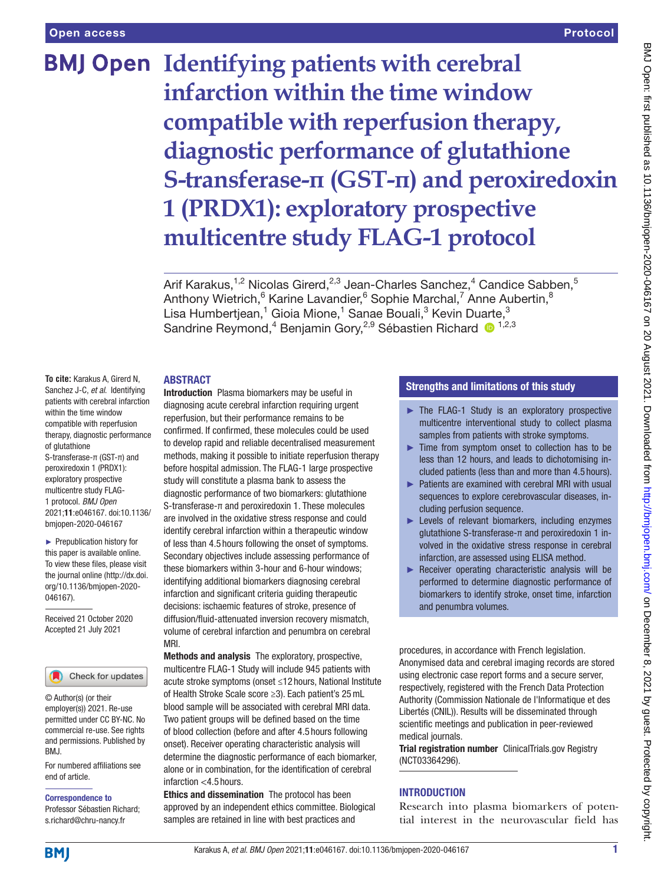# **BMJ Open** Identifying patients with cerebral **infarction within the time window compatible with reperfusion therapy, diagnostic performance of glutathione S-transferase-π (GST-π) and peroxiredoxin 1 (PRDX1): exploratory prospective multicentre study FLAG-1 protocol**

Arif Karakus,<sup>1,2</sup> Nicolas Girerd,<sup>2,3</sup> Jean-Charles Sanchez,<sup>4</sup> Candice Sabben,<sup>5</sup> Anthony Wietrich, <sup>6</sup> Karine Lavandier, <sup>6</sup> Sophie Marchal, <sup>7</sup> Anne Aubertin, <sup>8</sup> Lisa Humbertjean,<sup>1</sup> Gioia Mione,<sup>1</sup> Sanae Bouali,<sup>3</sup> Kevin Duarte,<sup>3</sup> Sandrine Reymond,<sup>4</sup> Benjamin Gory,<sup>2,9</sup> Sébastien Richard <sup>1,2,3</sup>

#### ABSTRACT

**To cite:** Karakus A, Girerd N, Sanchez J-C, *et al*. Identifying patients with cerebral infarction within the time window compatible with reperfusion therapy, diagnostic performance of glutathione S-transferase-π (GST-π) and peroxiredoxin 1 (PRDX1): exploratory prospective multicentre study FLAG-1 protocol. *BMJ Open* 2021;11:e046167. doi:10.1136/ bmjopen-2020-046167

► Prepublication history for this paper is available online. To view these files, please visit the journal online (http://dx.doi. org/10.1136/bmjopen-2020- 046167).

Received 21 October 2020 Accepted 21 July 2021



© Author(s) (or their employer(s)) 2021. Re-use permitted under CC BY-NC. No commercial re-use. See rights and permissions. Published by BMJ.

For numbered affiliations see end of article.

Correspondence to

Professor Sébastien Richard; s.richard@chru-nancy.fr

Introduction Plasma biomarkers may be useful in diagnosing acute cerebral infarction requiring urgent reperfusion, but their performance remains to be confirmed. If confirmed, these molecules could be used to develop rapid and reliable decentralised measurement methods, making it possible to initiate reperfusion therapy before hospital admission. The FLAG-1 large prospective study will constitute a plasma bank to assess the diagnostic performance of two biomarkers: glutathione S-transferase-π and peroxiredoxin 1. These molecules are involved in the oxidative stress response and could identify cerebral infarction within a therapeutic window of less than 4.5 hours following the onset of symptoms. Secondary objectives include assessing performance of these biomarkers within 3-hour and 6-hour windows; identifying additional biomarkers diagnosing cerebral infarction and significant criteria guiding therapeutic decisions: ischaemic features of stroke, presence of diffusion/fluid-attenuated inversion recovery mismatch, volume of cerebral infarction and penumbra on cerebral MRI.

Methods and analysis The exploratory, prospective, multicentre FLAG-1 Study will include 945 patients with acute stroke symptoms (onset ≤12 hours, National Institute of Health Stroke Scale score ≥3). Each patient's 25mL blood sample will be associated with cerebral MRI data. Two patient groups will be defined based on the time of blood collection (before and after 4.5 hours following onset). Receiver operating characteristic analysis will determine the diagnostic performance of each biomarker, alone or in combination, for the identification of cerebral infarction <4.5 hours.

Ethics and dissemination The protocol has been approved by an independent ethics committee. Biological samples are retained in line with best practices and

## Strengths and limitations of this study

- ► The FLAG-1 Study is an exploratory prospective multicentre interventional study to collect plasma samples from patients with stroke symptoms.
- ► Time from symptom onset to collection has to be less than 12 hours, and leads to dichotomising included patients (less than and more than 4.5 hours).
- ► Patients are examined with cerebral MRI with usual sequences to explore cerebrovascular diseases, including perfusion sequence.
- ► Levels of relevant biomarkers, including enzymes glutathione S-transferase-π and peroxiredoxin 1 involved in the oxidative stress response in cerebral infarction, are assessed using ELISA method.
- ► Receiver operating characteristic analysis will be performed to determine diagnostic performance of biomarkers to identify stroke, onset time, infarction and penumbra volumes.

procedures, in accordance with French legislation. Anonymised data and cerebral imaging records are stored using electronic case report forms and a secure server, respectively, registered with the French Data Protection Authority (Commission Nationale de l'Informatique et des Libertés (CNIL)). Results will be disseminated through scientific meetings and publication in peer-reviewed medical journals.

Trial registration number ClinicalTrials.gov Registry ([NCT03364296\)](NCT03364296).

# INTRODUCTION

Research into plasma biomarkers of potential interest in the neurovascular field has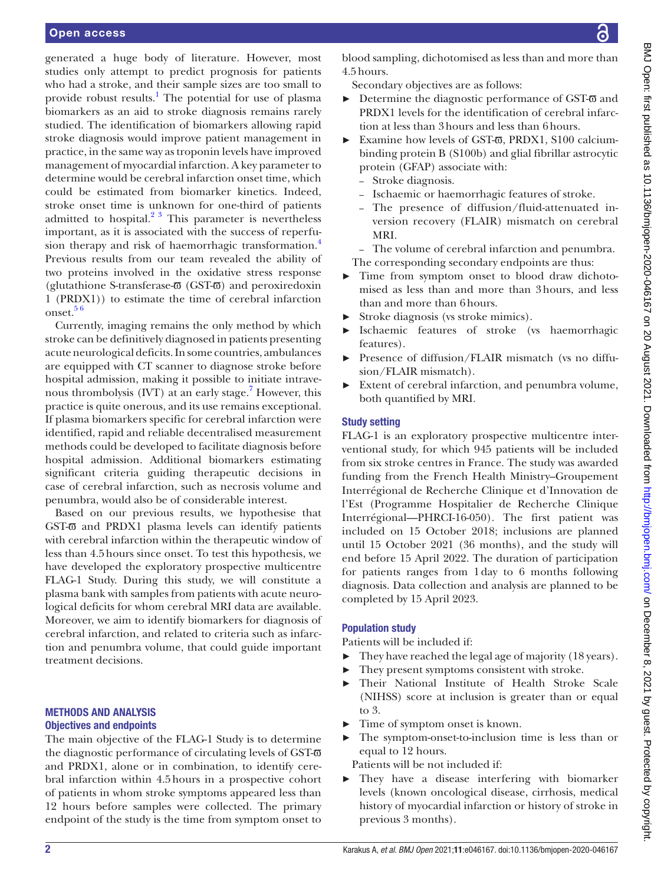generated a huge body of literature. However, most studies only attempt to predict prognosis for patients who had a stroke, and their sample sizes are too small to provide robust results.<sup>[1](#page-6-0)</sup> The potential for use of plasma biomarkers as an aid to stroke diagnosis remains rarely studied. The identification of biomarkers allowing rapid stroke diagnosis would improve patient management in practice, in the same way as troponin levels have improved management of myocardial infarction. A key parameter to determine would be cerebral infarction onset time, which could be estimated from biomarker kinetics. Indeed, stroke onset time is unknown for one-third of patients admitted to hospital. $2^3$  This parameter is nevertheless important, as it is associated with the success of reperfu-sion therapy and risk of haemorrhagic transformation.<sup>[4](#page-6-2)</sup> Previous results from our team revealed the ability of two proteins involved in the oxidative stress response (glutathione S-transferase- $\overline{\omega}$  (GST- $\overline{\omega}$ ) and peroxiredoxin 1 (PRDX1)) to estimate the time of cerebral infarction onset.<sup>56</sup>

Currently, imaging remains the only method by which stroke can be definitively diagnosed in patients presenting acute neurological deficits. In some countries, ambulances are equipped with CT scanner to diagnose stroke before hospital admission, making it possible to initiate intrave-nous thrombolysis (IVT) at an early stage.<sup>[7](#page-6-4)</sup> However, this practice is quite onerous, and its use remains exceptional. If plasma biomarkers specific for cerebral infarction were identified, rapid and reliable decentralised measurement methods could be developed to facilitate diagnosis before hospital admission. Additional biomarkers estimating significant criteria guiding therapeutic decisions in case of cerebral infarction, such as necrosis volume and penumbra, would also be of considerable interest.

Based on our previous results, we hypothesise that GST- $\overline{\omega}$  and PRDX1 plasma levels can identify patients with cerebral infarction within the therapeutic window of less than 4.5hours since onset. To test this hypothesis, we have developed the exploratory prospective multicentre FLAG-1 Study. During this study, we will constitute a plasma bank with samples from patients with acute neurological deficits for whom cerebral MRI data are available. Moreover, we aim to identify biomarkers for diagnosis of cerebral infarction, and related to criteria such as infarction and penumbra volume, that could guide important treatment decisions.

#### METHODS AND ANALYSIS Objectives and endpoints

The main objective of the FLAG-1 Study is to determine the diagnostic performance of circulating levels of GST- $\overline{\omega}$ and PRDX1, alone or in combination, to identify cerebral infarction within 4.5hours in a prospective cohort of patients in whom stroke symptoms appeared less than 12 hours before samples were collected. The primary endpoint of the study is the time from symptom onset to

blood sampling, dichotomised as less than and more than 4.5hours.

Secondary objectives are as follows:

- $\triangleright$  Determine the diagnostic performance of GST- $\overline{\omega}$  and PRDX1 levels for the identification of cerebral infarction at less than 3hours and less than 6hours.
- ► Examine how levels of GST-π, PRDX1, S100 calciumbinding protein B (S100b) and glial fibrillar astrocytic protein (GFAP) associate with:
	- Stroke diagnosis.
	- Ischaemic or haemorrhagic features of stroke.
	- The presence of diffusion/fluid-attenuated inversion recovery (FLAIR) mismatch on cerebral MRI.
	- The volume of cerebral infarction and penumbra.
	- The corresponding secondary endpoints are thus:
- Time from symptom onset to blood draw dichotomised as less than and more than 3hours, and less than and more than 6hours.
- ► Stroke diagnosis (vs stroke mimics).
- ► Ischaemic features of stroke (vs haemorrhagic features).
- ► Presence of diffusion/FLAIR mismatch (vs no diffusion/FLAIR mismatch).
- ► Extent of cerebral infarction, and penumbra volume, both quantified by MRI.

## Study setting

FLAG-1 is an exploratory prospective multicentre interventional study, for which 945 patients will be included from six stroke centres in France. The study was awarded funding from the French Health Ministry–Groupement Interrégional de Recherche Clinique et d'Innovation de l'Est (Programme Hospitalier de Recherche Clinique Interrégional—PHRCI-16-050). The first patient was included on 15 October 2018; inclusions are planned until 15 October 2021 (36 months), and the study will end before 15 April 2022. The duration of participation for patients ranges from 1day to 6 months following diagnosis. Data collection and analysis are planned to be completed by 15 April 2023.

# Population study

Patients will be included if:

- ► They have reached the legal age of majority (18 years).
- ► They present symptoms consistent with stroke.
- Their National Institute of Health Stroke Scale (NIHSS) score at inclusion is greater than or equal to 3.
- Time of symptom onset is known.
- ► The symptom-onset-to-inclusion time is less than or equal to 12 hours.

Patients will be not included if:

► They have a disease interfering with biomarker levels (known oncological disease, cirrhosis, medical history of myocardial infarction or history of stroke in previous 3 months).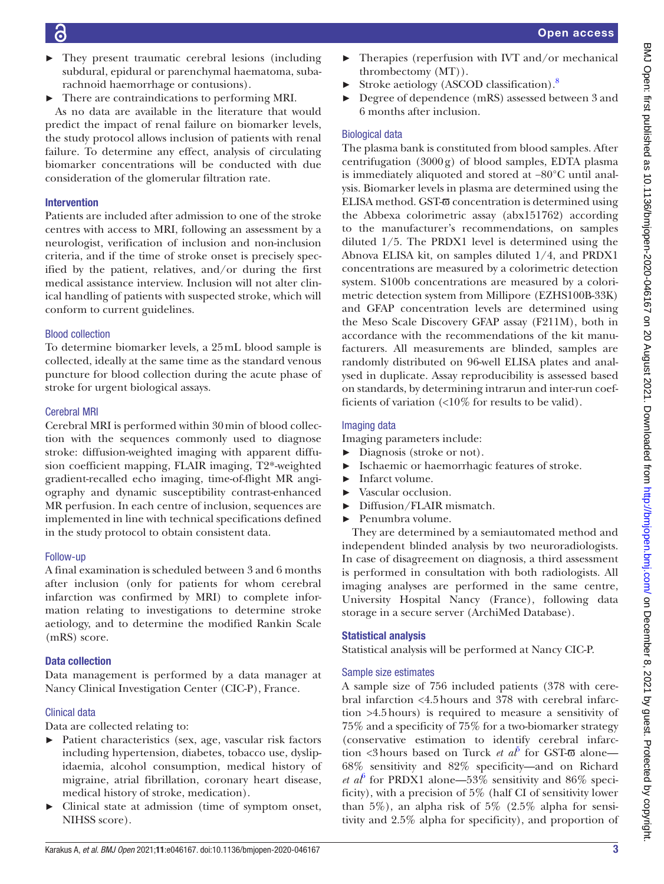- They present traumatic cerebral lesions (including subdural, epidural or parenchymal haematoma, subarachnoid haemorrhage or contusions).
- ► There are contraindications to performing MRI.

As no data are available in the literature that would predict the impact of renal failure on biomarker levels, the study protocol allows inclusion of patients with renal failure. To determine any effect, analysis of circulating biomarker concentrations will be conducted with due consideration of the glomerular filtration rate.

# Intervention

Patients are included after admission to one of the stroke centres with access to MRI, following an assessment by a neurologist, verification of inclusion and non-inclusion criteria, and if the time of stroke onset is precisely specified by the patient, relatives, and/or during the first medical assistance interview. Inclusion will not alter clinical handling of patients with suspected stroke, which will conform to current guidelines.

# Blood collection

To determine biomarker levels, a 25mL blood sample is collected, ideally at the same time as the standard venous puncture for blood collection during the acute phase of stroke for urgent biological assays.

# Cerebral MRI

Cerebral MRI is performed within 30min of blood collection with the sequences commonly used to diagnose stroke: diffusion-weighted imaging with apparent diffusion coefficient mapping, FLAIR imaging, T2\*-weighted gradient-recalled echo imaging, time-of-flight MR angiography and dynamic susceptibility contrast-enhanced MR perfusion. In each centre of inclusion, sequences are implemented in line with technical specifications defined in the study protocol to obtain consistent data.

## Follow-up

A final examination is scheduled between 3 and 6 months after inclusion (only for patients for whom cerebral infarction was confirmed by MRI) to complete information relating to investigations to determine stroke aetiology, and to determine the modified Rankin Scale (mRS) score.

# Data collection

Data management is performed by a data manager at Nancy Clinical Investigation Center (CIC-P), France.

# Clinical data

Data are collected relating to:

- ► Patient characteristics (sex, age, vascular risk factors including hypertension, diabetes, tobacco use, dyslipidaemia, alcohol consumption, medical history of migraine, atrial fibrillation, coronary heart disease, medical history of stroke, medication).
- ► Clinical state at admission (time of symptom onset, NIHSS score).
- Therapies (reperfusion with IVT and/or mechanical thrombectomy (MT)).
- Stroke aetiology (ASCOD classification).<sup>8</sup>
- ► Degree of dependence (mRS) assessed between 3 and 6 months after inclusion.

# Biological data

The plasma bank is constituted from blood samples. After centrifugation (3000g) of blood samples, EDTA plasma is immediately aliquoted and stored at −80°C until analysis. Biomarker levels in plasma are determined using the ELISA method. GST-π concentration is determined using the Abbexa colorimetric assay (abx151762) according to the manufacturer's recommendations, on samples diluted 1/5. The PRDX1 level is determined using the Abnova ELISA kit, on samples diluted 1/4, and PRDX1 concentrations are measured by a colorimetric detection system. S100b concentrations are measured by a colorimetric detection system from Millipore (EZHS100B-33K) and GFAP concentration levels are determined using the Meso Scale Discovery GFAP assay (F211M), both in accordance with the recommendations of the kit manufacturers. All measurements are blinded, samples are randomly distributed on 96-well ELISA plates and analysed in duplicate. Assay reproducibility is assessed based on standards, by determining intrarun and inter-run coefficients of variation  $\langle$ <10% for results to be valid).

# Imaging data

Imaging parameters include:

- ► Diagnosis (stroke or not).
- ► Ischaemic or haemorrhagic features of stroke.
- ► Infarct volume.
- ► Vascular occlusion.
- ► Diffusion/FLAIR mismatch.
- Penumbra volume.

They are determined by a semiautomated method and independent blinded analysis by two neuroradiologists. In case of disagreement on diagnosis, a third assessment is performed in consultation with both radiologists. All imaging analyses are performed in the same centre, University Hospital Nancy (France), following data storage in a secure server (ArchiMed Database).

# Statistical analysis

Statistical analysis will be performed at Nancy CIC-P.

## Sample size estimates

A sample size of 756 included patients (378 with cerebral infarction <4.5hours and 378 with cerebral infarction >4.5hours) is required to measure a sensitivity of 75% and a specificity of 75% for a two-biomarker strategy (conservative estimation to identify cerebral infarction <3hours based on Turck *et al*<sup>[5](#page-6-3)</sup> for GST-**π** alone— 68% sensitivity and 82% specificity—and on Richard *et al*<sup> $6$ </sup> for PRDX1 alone—53% sensitivity and 86% specificity), with a precision of 5% (half CI of sensitivity lower than  $5\%$ ), an alpha risk of  $5\%$  (2.5% alpha for sensitivity and 2.5% alpha for specificity), and proportion of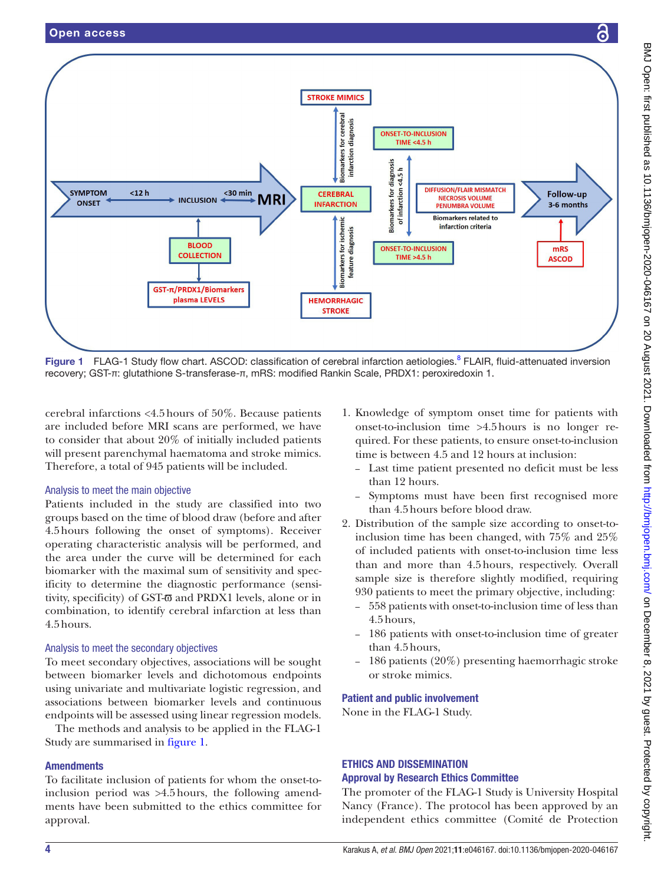

<span id="page-3-0"></span>Figure 1 FLAG-1 Study flow chart. ASCOD: classification of cerebral infarction aetiologies.<sup>8</sup> FLAIR, fluid-attenuated inversion recovery; GST-π: glutathione S-transferase-π, mRS: modified Rankin Scale, PRDX1: peroxiredoxin 1.

cerebral infarctions <4.5hours of 50%. Because patients are included before MRI scans are performed, we have to consider that about 20% of initially included patients will present parenchymal haematoma and stroke mimics. Therefore, a total of 945 patients will be included.

## Analysis to meet the main objective

Patients included in the study are classified into two groups based on the time of blood draw (before and after 4.5hours following the onset of symptoms). Receiver operating characteristic analysis will be performed, and the area under the curve will be determined for each biomarker with the maximal sum of sensitivity and specificity to determine the diagnostic performance (sensitivity, specificity) of GST- $\overline{\omega}$  and PRDX1 levels, alone or in combination, to identify cerebral infarction at less than 4.5hours.

## Analysis to meet the secondary objectives

To meet secondary objectives, associations will be sought between biomarker levels and dichotomous endpoints using univariate and multivariate logistic regression, and associations between biomarker levels and continuous endpoints will be assessed using linear regression models.

The methods and analysis to be applied in the FLAG-1 Study are summarised in [figure](#page-3-0) 1.

## **Amendments**

To facilitate inclusion of patients for whom the onset-toinclusion period was >4.5hours, the following amendments have been submitted to the ethics committee for approval.

- 1. Knowledge of symptom onset time for patients with onset-to-inclusion time >4.5hours is no longer required. For these patients, to ensure onset-to-inclusion time is between 4.5 and 12 hours at inclusion:
	- Last time patient presented no deficit must be less than 12 hours.
	- Symptoms must have been first recognised more than 4.5hours before blood draw.
- 2. Distribution of the sample size according to onset-toinclusion time has been changed, with 75% and 25% of included patients with onset-to-inclusion time less than and more than 4.5hours, respectively. Overall sample size is therefore slightly modified, requiring 930 patients to meet the primary objective, including:
	- 558 patients with onset-to-inclusion time of less than 4.5hours,
	- 186 patients with onset-to-inclusion time of greater than 4.5hours,
	- 186 patients (20%) presenting haemorrhagic stroke or stroke mimics.

## Patient and public involvement

None in the FLAG-1 Study.

# ETHICS AND DISSEMINATION Approval by Research Ethics Committee

The promoter of the FLAG-1 Study is University Hospital Nancy (France). The protocol has been approved by an independent ethics committee (Comité de Protection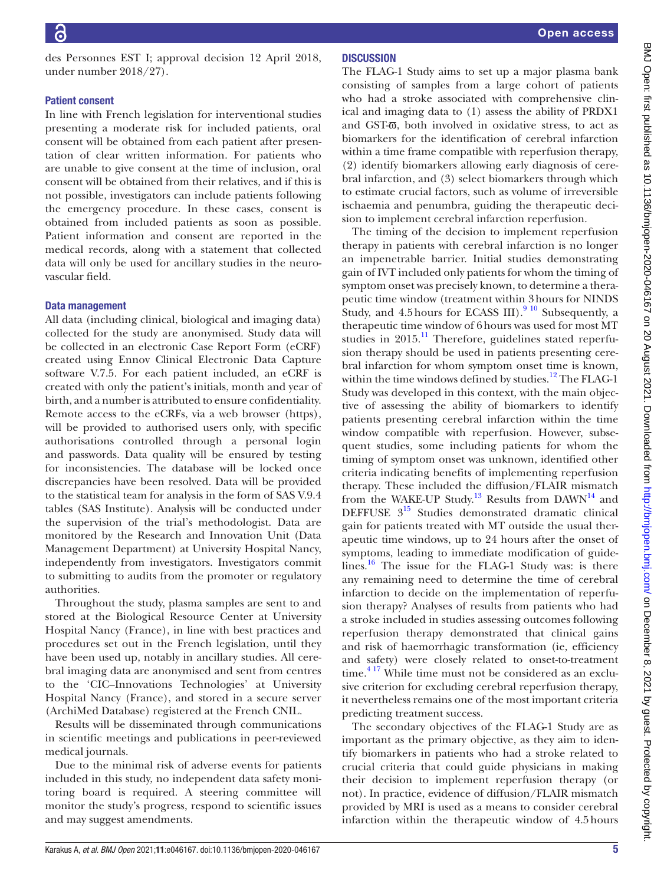des Personnes EST I; approval decision 12 April 2018, under number 2018/27).

#### Patient consent

In line with French legislation for interventional studies presenting a moderate risk for included patients, oral consent will be obtained from each patient after presentation of clear written information. For patients who are unable to give consent at the time of inclusion, oral consent will be obtained from their relatives, and if this is not possible, investigators can include patients following the emergency procedure. In these cases, consent is obtained from included patients as soon as possible. Patient information and consent are reported in the medical records, along with a statement that collected data will only be used for ancillary studies in the neurovascular field.

#### Data management

All data (including clinical, biological and imaging data) collected for the study are anonymised. Study data will be collected in an electronic Case Report Form (eCRF) created using Ennov Clinical Electronic Data Capture software V.7.5. For each patient included, an eCRF is created with only the patient's initials, month and year of birth, and a number is attributed to ensure confidentiality. Remote access to the eCRFs, via a web browser (https), will be provided to authorised users only, with specific authorisations controlled through a personal login and passwords. Data quality will be ensured by testing for inconsistencies. The database will be locked once discrepancies have been resolved. Data will be provided to the statistical team for analysis in the form of SAS V.9.4 tables (SAS Institute). Analysis will be conducted under the supervision of the trial's methodologist. Data are monitored by the Research and Innovation Unit (Data Management Department) at University Hospital Nancy, independently from investigators. Investigators commit to submitting to audits from the promoter or regulatory authorities.

Throughout the study, plasma samples are sent to and stored at the Biological Resource Center at University Hospital Nancy (France), in line with best practices and procedures set out in the French legislation, until they have been used up, notably in ancillary studies. All cerebral imaging data are anonymised and sent from centres to the 'CIC–Innovations Technologies' at University Hospital Nancy (France), and stored in a secure server (ArchiMed Database) registered at the French CNIL.

Results will be disseminated through communications in scientific meetings and publications in peer-reviewed medical journals.

Due to the minimal risk of adverse events for patients included in this study, no independent data safety monitoring board is required. A steering committee will monitor the study's progress, respond to scientific issues and may suggest amendments.

# **DISCUSSION**

The FLAG-1 Study aims to set up a major plasma bank consisting of samples from a large cohort of patients who had a stroke associated with comprehensive clinical and imaging data to (1) assess the ability of PRDX1 and GST-π, both involved in oxidative stress, to act as biomarkers for the identification of cerebral infarction within a time frame compatible with reperfusion therapy, (2) identify biomarkers allowing early diagnosis of cerebral infarction, and (3) select biomarkers through which to estimate crucial factors, such as volume of irreversible ischaemia and penumbra, guiding the therapeutic decision to implement cerebral infarction reperfusion.

The timing of the decision to implement reperfusion therapy in patients with cerebral infarction is no longer an impenetrable barrier. Initial studies demonstrating gain of IVT included only patients for whom the timing of symptom onset was precisely known, to determine a therapeutic time window (treatment within 3hours for NINDS Study, and 4.5 hours for ECASS III). $910$  Subsequently, a therapeutic time window of 6hours was used for most MT studies in  $2015$ .<sup>[11](#page-6-8)</sup> Therefore, guidelines stated reperfusion therapy should be used in patients presenting cerebral infarction for whom symptom onset time is known, within the time windows defined by studies. $12$  The FLAG-1 Study was developed in this context, with the main objective of assessing the ability of biomarkers to identify patients presenting cerebral infarction within the time window compatible with reperfusion. However, subsequent studies, some including patients for whom the timing of symptom onset was unknown, identified other criteria indicating benefits of implementing reperfusion therapy. These included the diffusion/FLAIR mismatch from the WAKE-UP Study.<sup>[13](#page-6-10)</sup> Results from DAWN<sup>14</sup> and DEFFUSE  $3^{15}$  Studies demonstrated dramatic clinical gain for patients treated with MT outside the usual therapeutic time windows, up to 24 hours after the onset of symptoms, leading to immediate modification of guidelines. $^{16}$  The issue for the FLAG-1 Study was: is there any remaining need to determine the time of cerebral infarction to decide on the implementation of reperfusion therapy? Analyses of results from patients who had a stroke included in studies assessing outcomes following reperfusion therapy demonstrated that clinical gains and risk of haemorrhagic transformation (ie, efficiency and safety) were closely related to onset-to-treatment  $time.<sup>417</sup>$  While time must not be considered as an exclusive criterion for excluding cerebral reperfusion therapy, it nevertheless remains one of the most important criteria predicting treatment success.

The secondary objectives of the FLAG-1 Study are as important as the primary objective, as they aim to identify biomarkers in patients who had a stroke related to crucial criteria that could guide physicians in making their decision to implement reperfusion therapy (or not). In practice, evidence of diffusion/FLAIR mismatch provided by MRI is used as a means to consider cerebral infarction within the therapeutic window of 4.5hours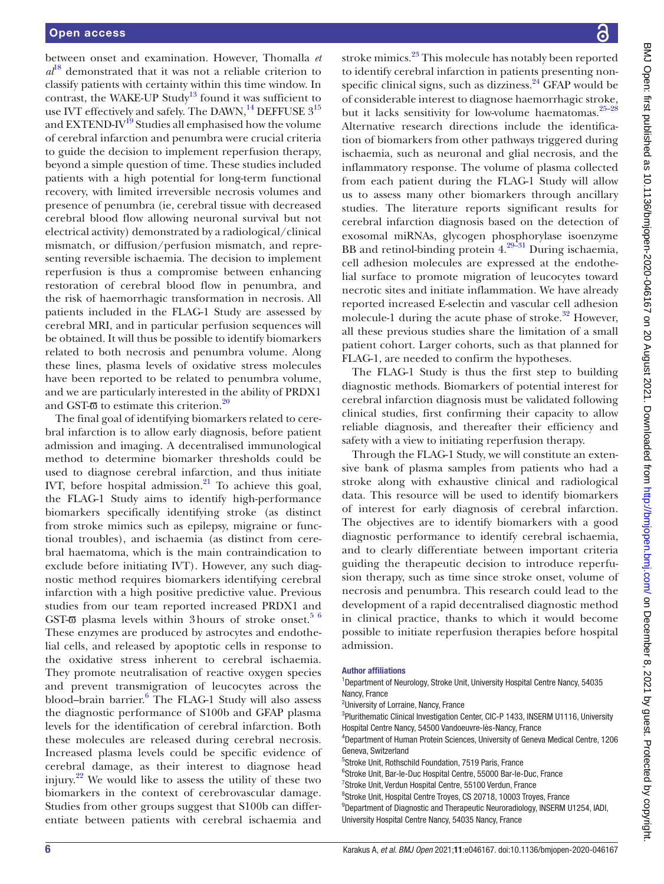between onset and examination. However, Thomalla *et*   $a^{18}$  demonstrated that it was not a reliable criterion to classify patients with certainty within this time window. In contrast, the WAKE-UP Study<sup>13</sup> found it was sufficient to use IVT effectively and safely. The DAWN,  $^{14}$  DEFFUSE  $3^{15}$ and EXTEND-IV<sup>19</sup> Studies all emphasised how the volume of cerebral infarction and penumbra were crucial criteria to guide the decision to implement reperfusion therapy, beyond a simple question of time. These studies included patients with a high potential for long-term functional recovery, with limited irreversible necrosis volumes and presence of penumbra (ie, cerebral tissue with decreased cerebral blood flow allowing neuronal survival but not electrical activity) demonstrated by a radiological/clinical mismatch, or diffusion/perfusion mismatch, and representing reversible ischaemia. The decision to implement reperfusion is thus a compromise between enhancing restoration of cerebral blood flow in penumbra, and the risk of haemorrhagic transformation in necrosis. All patients included in the FLAG-1 Study are assessed by cerebral MRI, and in particular perfusion sequences will be obtained. It will thus be possible to identify biomarkers related to both necrosis and penumbra volume. Along these lines, plasma levels of oxidative stress molecules have been reported to be related to penumbra volume, and we are particularly interested in the ability of PRDX1 and GST- $\overline{\omega}$  to estimate this criterion.<sup>[20](#page-6-16)</sup>

The final goal of identifying biomarkers related to cerebral infarction is to allow early diagnosis, before patient admission and imaging. A decentralised immunological method to determine biomarker thresholds could be used to diagnose cerebral infarction, and thus initiate IVT, before hospital admission. $^{21}$  $^{21}$  $^{21}$  To achieve this goal, the FLAG-1 Study aims to identify high-performance biomarkers specifically identifying stroke (as distinct from stroke mimics such as epilepsy, migraine or functional troubles), and ischaemia (as distinct from cerebral haematoma, which is the main contraindication to exclude before initiating IVT). However, any such diagnostic method requires biomarkers identifying cerebral infarction with a high positive predictive value. Previous studies from our team reported increased PRDX1 and GST- $\overline{\omega}$  plasma levels within 3 hours of stroke onset.<sup>5 6</sup> These enzymes are produced by astrocytes and endothelial cells, and released by apoptotic cells in response to the oxidative stress inherent to cerebral ischaemia. They promote neutralisation of reactive oxygen species and prevent transmigration of leucocytes across the blood–brain barrier.<sup>[6](#page-6-6)</sup> The FLAG-1 Study will also assess the diagnostic performance of S100b and GFAP plasma levels for the identification of cerebral infarction. Both these molecules are released during cerebral necrosis. Increased plasma levels could be specific evidence of cerebral damage, as their interest to diagnose head injury.<sup>22</sup> We would like to assess the utility of these two biomarkers in the context of cerebrovascular damage. Studies from other groups suggest that S100b can differentiate between patients with cerebral ischaemia and

stroke mimics.<sup>23</sup> This molecule has notably been reported to identify cerebral infarction in patients presenting nonspecific clinical signs, such as dizziness. $^{24}$  $^{24}$  $^{24}$  GFAP would be of considerable interest to diagnose haemorrhagic stroke, but it lacks sensitivity for low-volume haematomas.<sup>25-28</sup> Alternative research directions include the identification of biomarkers from other pathways triggered during ischaemia, such as neuronal and glial necrosis, and the inflammatory response. The volume of plasma collected from each patient during the FLAG-1 Study will allow us to assess many other biomarkers through ancillary studies. The literature reports significant results for cerebral infarction diagnosis based on the detection of exosomal miRNAs, glycogen phosphorylase isoenzyme BB and retinol-binding protein  $4.\overline{^{29-31}}$  During ischaemia, cell adhesion molecules are expressed at the endothelial surface to promote migration of leucocytes toward necrotic sites and initiate inflammation. We have already reported increased E-selectin and vascular cell adhesion molecule-1 during the acute phase of stroke.<sup>[32](#page-6-23)</sup> However, all these previous studies share the limitation of a small patient cohort. Larger cohorts, such as that planned for FLAG-1, are needed to confirm the hypotheses.

The FLAG-1 Study is thus the first step to building diagnostic methods. Biomarkers of potential interest for cerebral infarction diagnosis must be validated following clinical studies, first confirming their capacity to allow reliable diagnosis, and thereafter their efficiency and safety with a view to initiating reperfusion therapy.

Through the FLAG-1 Study, we will constitute an extensive bank of plasma samples from patients who had a stroke along with exhaustive clinical and radiological data. This resource will be used to identify biomarkers of interest for early diagnosis of cerebral infarction. The objectives are to identify biomarkers with a good diagnostic performance to identify cerebral ischaemia, and to clearly differentiate between important criteria guiding the therapeutic decision to introduce reperfusion therapy, such as time since stroke onset, volume of necrosis and penumbra. This research could lead to the development of a rapid decentralised diagnostic method in clinical practice, thanks to which it would become possible to initiate reperfusion therapies before hospital admission.

#### Author affiliations

<sup>1</sup>Department of Neurology, Stroke Unit, University Hospital Centre Nancy, 54035 Nancy, France 2 University of Lorraine, Nancy, France <sup>3</sup>Plurithematic Clinical Investigation Center, CIC-P 1433, INSERM U1116, University Hospital Centre Nancy, 54500 Vandoeuvre-lès-Nancy, France 4 Department of Human Protein Sciences, University of Geneva Medical Centre, 1206 Geneva, Switzerland 5 Stroke Unit, Rothschild Foundation, 7519 Paris, France 6 Stroke Unit, Bar-le-Duc Hospital Centre, 55000 Bar-le-Duc, France 7 Stroke Unit, Verdun Hospital Centre, 55100 Verdun, France <sup>8</sup>Stroke Unit, Hospital Centre Troyes, CS 20718, 10003 Troyes, France <sup>9</sup>Department of Diagnostic and Therapeutic Neuroradiology, INSERM U1254, IADI, University Hospital Centre Nancy, 54035 Nancy, France